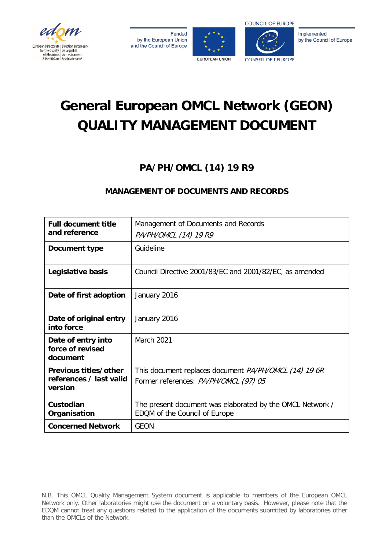







CONSEIL DE L'ELIROPE

Implemented by the Council of Europe

# **General European OMCL Network (GEON) QUALITY MANAGEMENT DOCUMENT**

## **PA/PH/OMCL (14) 19 R9**

### **MANAGEMENT OF DOCUMENTS AND RECORDS**

| <b>Full document title</b><br>and reference                 | Management of Documents and Records<br>PA/PH/OMCL (14) 19 R9                                          |
|-------------------------------------------------------------|-------------------------------------------------------------------------------------------------------|
| Document type                                               | Guideline                                                                                             |
| Legislative basis                                           | Council Directive 2001/83/EC and 2001/82/EC, as amended                                               |
| Date of first adoption                                      | January 2016                                                                                          |
| Date of original entry<br>into force                        | January 2016                                                                                          |
| Date of entry into<br>force of revised<br>document          | <b>March 2021</b>                                                                                     |
| Previous titles/other<br>references / last valid<br>version | This document replaces document <i>PA/PH/OMCL (14) 19 6R</i><br>Former references: PA/PH/OMCL (97) 05 |
| Custodian<br>Organisation                                   | The present document was elaborated by the OMCL Network /<br>EDQM of the Council of Europe            |
| <b>Concerned Network</b>                                    | GEON                                                                                                  |

N.B. This OMCL Quality Management System document is applicable to members of the European OMCL Network only. Other laboratories might use the document on a voluntary basis. However, please note that the EDQM cannot treat any questions related to the application of the documents submitted by laboratories other than the OMCLs of the Network.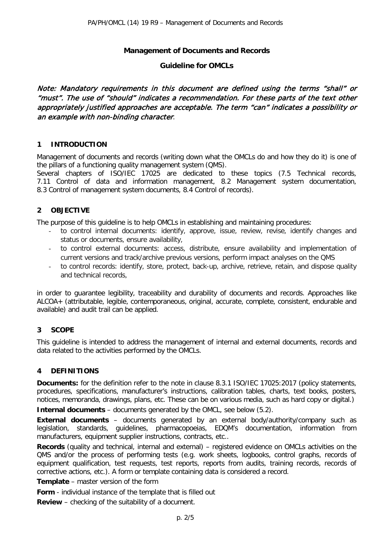#### **Management of Documents and Records**

#### **Guideline for OMCLs**

Note: Mandatory requirements in this document are defined using the terms "shall" or "must". The use of "should" indicates a recommendation. For these parts of the text other appropriately justified approaches are acceptable. The term "can" indicates a possibility or an example with non-binding character.

#### **1 INTRODUCTION**

Management of documents and records (writing down what the OMCLs do and how they do it) is one of the pillars of a functioning quality management system (QMS).

Several chapters of ISO/IEC 17025 are dedicated to these topics (7.5 Technical records, 7.11 Control of data and information management, 8.2 Management system documentation, 8.3 Control of management system documents, 8.4 Control of records).

#### **2 OBJECTIVE**

The purpose of this guideline is to help OMCLs in establishing and maintaining procedures:

- to control internal documents: identify, approve, issue, review, revise, identify changes and status or documents, ensure availability,
- to control external documents: access, distribute, ensure availability and implementation of current versions and track/archive previous versions, perform impact analyses on the QMS
- to control records: identify, store, protect, back-up, archive, retrieve, retain, and dispose quality and technical records,

in order to guarantee legibility, traceability and durability of documents and records. Approaches like ALCOA+ (attributable, legible, contemporaneous, original, accurate, complete, consistent, endurable and available) and audit trail can be applied.

#### **3 SCOPE**

This guideline is intended to address the management of internal and external documents, records and data related to the activities performed by the OMCLs.

#### **4 DEFINITIONS**

**Documents:** for the definition refer to the note in clause 8.3.1 ISO/IEC 17025:2017 (policy statements, procedures, specifications, manufacturer's instructions, calibration tables, charts, text books, posters, notices, memoranda, drawings, plans, etc. These can be on various media, such as hard copy or digital.)

**Internal documents** – documents generated by the OMCL, see below (5.2).

**External documents** – documents generated by an external body/authority/company such as legislation, standards, guidelines, pharmacopoeias, EDQM's documentation, information from manufacturers, equipment supplier instructions, contracts, etc..

**Records** (quality and technical, internal and external) – registered evidence on OMCLs activities on the QMS and/or the process of performing tests (e.g. work sheets, logbooks, control graphs, records of equipment qualification, test requests, test reports, reports from audits, training records, records of corrective actions, etc.). A form or template containing data is considered a record.

**Template** – master version of the form

**Form** - individual instance of the template that is filled out

**Review** – checking of the suitability of a document.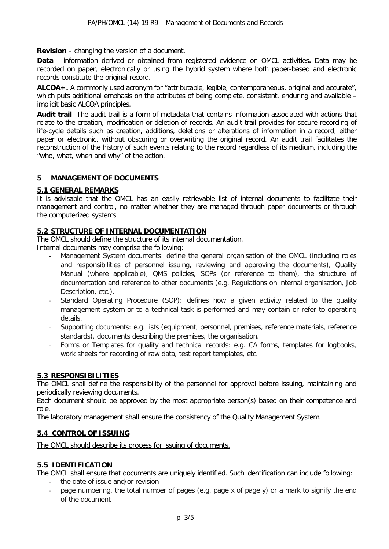**Revision** – changing the version of a document.

**Data** - information derived or obtained from registered evidence on OMCL activities**.** Data may be recorded on paper, electronically or using the hybrid system where both paper-based and electronic records constitute the original record.

**ALCOA+.** A commonly used acronym for "attributable, legible, contemporaneous, original and accurate", which puts additional emphasis on the attributes of being complete, consistent, enduring and available – implicit basic ALCOA principles.

**Audit trail**. The audit trail is a form of metadata that contains information associated with actions that relate to the creation, modification or deletion of records. An audit trail provides for secure recording of life-cycle details such as creation, additions, deletions or alterations of information in a record, either paper or electronic, without obscuring or overwriting the original record. An audit trail facilitates the reconstruction of the history of such events relating to the record regardless of its medium, including the "who, what, when and why" of the action.

#### **5 MANAGEMENT OF DOCUMENTS**

#### **5.1 GENERAL REMARKS**

It is advisable that the OMCL has an easily retrievable list of internal documents to facilitate their management and control, no matter whether they are managed through paper documents or through the computerized systems.

#### **5.2 STRUCTURE OF INTERNAL DOCUMENTATION**

The OMCL should define the structure of its internal documentation.

Internal documents may comprise the following:

- Management System documents: define the general organisation of the OMCL (including roles and responsibilities of personnel issuing, reviewing and approving the documents), Quality Manual (where applicable), QMS policies, SOPs (or reference to them), the structure of documentation and reference to other documents (e.g. Regulations on internal organisation, Job Description, etc.).
- Standard Operating Procedure (SOP): defines how a given activity related to the quality management system or to a technical task is performed and may contain or refer to operating details.
- Supporting documents: e.g. lists (equipment, personnel, premises, reference materials, reference standards), documents describing the premises, the organisation.
- Forms or Templates for quality and technical records: e.g. CA forms, templates for logbooks, work sheets for recording of raw data, test report templates, etc.

#### **5.3 RESPONSIBILITIES**

The OMCL shall define the responsibility of the personnel for approval before issuing, maintaining and periodically reviewing documents.

Each document should be approved by the most appropriate person(s) based on their competence and role.

The laboratory management shall ensure the consistency of the Quality Management System.

#### **5.4 CONTROL OF ISSUING**

The OMCL should describe its process for issuing of documents.

#### **5.5 IDENTIFICATION**

The OMCL shall ensure that documents are uniquely identified. Such identification can include following:

- the date of issue and/or revision
- page numbering, the total number of pages (e.g. page x of page y) or a mark to signify the end of the document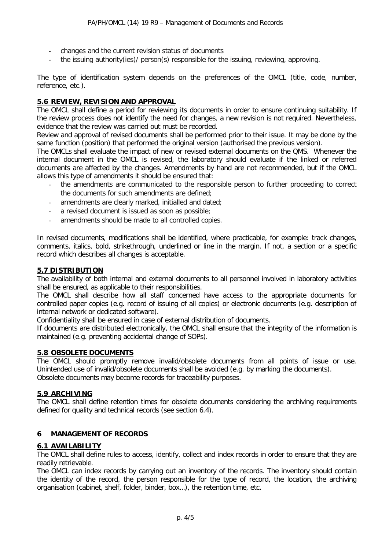- changes and the current revision status of documents
- the issuing authority(ies)/ person(s) responsible for the issuing, reviewing, approving.

The type of identification system depends on the preferences of the OMCL (title, code, number, reference, etc.).

#### **5.6 REVIEW, REVISION AND APPROVAL**

The OMCL shall define a period for reviewing its documents in order to ensure continuing suitability. If the review process does not identify the need for changes, a new revision is not required. Nevertheless, evidence that the review was carried out must be recorded.

Review and approval of revised documents shall be performed prior to their issue. It may be done by the same function (position) that performed the original version (authorised the previous version).

The OMCLs shall evaluate the impact of new or revised external documents on the QMS. Whenever the internal document in the OMCL is revised, the laboratory should evaluate if the linked or referred documents are affected by the changes. Amendments by hand are not recommended, but if the OMCL allows this type of amendments it should be ensured that:

- the amendments are communicated to the responsible person to further proceeding to correct the documents for such amendments are defined;
- amendments are clearly marked, initialled and dated;
- a revised document is issued as soon as possible;
- amendments should be made to all controlled copies.

In revised documents, modifications shall be identified, where practicable, for example: track changes, comments, italics, bold, strikethrough, underlined or line in the margin. If not, a section or a specific record which describes all changes is acceptable.

#### **5.7 DISTRIBUTION**

The availability of both internal and external documents to all personnel involved in laboratory activities shall be ensured, as applicable to their responsibilities.

The OMCL shall describe how all staff concerned have access to the appropriate documents for controlled paper copies (e.g. record of issuing of all copies) or electronic documents (e.g. description of internal network or dedicated software).

Confidentiality shall be ensured in case of external distribution of documents.

If documents are distributed electronically, the OMCL shall ensure that the integrity of the information is maintained (e.g. preventing accidental change of SOPs).

#### **5.8 OBSOLETE DOCUMENTS**

The OMCL should promptly remove invalid/obsolete documents from all points of issue or use. Unintended use of invalid/obsolete documents shall be avoided (e.g. by marking the documents). Obsolete documents may become records for traceability purposes.

#### **5.9 ARCHIVING**

The OMCL shall define retention times for obsolete documents considering the archiving requirements defined for quality and technical records (see section 6.4).

#### **6 MANAGEMENT OF RECORDS**

#### **6.1 AVAILABILITY**

The OMCL shall define rules to access, identify, collect and index records in order to ensure that they are readily retrievable.

The OMCL can index records by carrying out an inventory of the records. The inventory should contain the identity of the record, the person responsible for the type of record, the location, the archiving organisation (cabinet, shelf, folder, binder, box…), the retention time, etc.